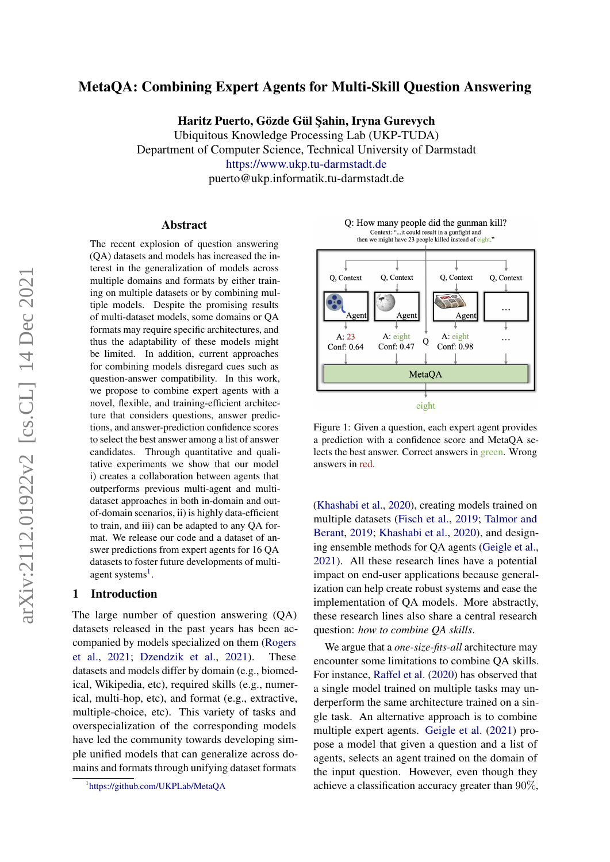# MetaQA: Combining Expert Agents for Multi-Skill Question Answering

Haritz Puerto, Gözde Gül Sahin, Iryna Gurevych

Ubiquitous Knowledge Processing Lab (UKP-TUDA) Department of Computer Science, Technical University of Darmstadt <https://www.ukp.tu-darmstadt.de> puerto@ukp.informatik.tu-darmstadt.de

#### Abstract

The recent explosion of question answering (QA) datasets and models has increased the interest in the generalization of models across multiple domains and formats by either training on multiple datasets or by combining multiple models. Despite the promising results of multi-dataset models, some domains or QA formats may require specific architectures, and thus the adaptability of these models might be limited. In addition, current approaches for combining models disregard cues such as question-answer compatibility. In this work, we propose to combine expert agents with a novel, flexible, and training-efficient architecture that considers questions, answer predictions, and answer-prediction confidence scores to select the best answer among a list of answer candidates. Through quantitative and qualitative experiments we show that our model i) creates a collaboration between agents that outperforms previous multi-agent and multidataset approaches in both in-domain and outof-domain scenarios, ii) is highly data-efficient to train, and iii) can be adapted to any QA format. We release our code and a dataset of answer predictions from expert agents for 16 QA datasets to foster future developments of multi-agent systems<sup>[1](#page-0-0)</sup>.

### 1 Introduction

The large number of question answering (QA) datasets released in the past years has been accompanied by models specialized on them [\(Rogers](#page-9-0) [et al.,](#page-9-0) [2021;](#page-9-0) [Dzendzik et al.,](#page-8-0) [2021\)](#page-8-0). These datasets and models differ by domain (e.g., biomedical, Wikipedia, etc), required skills (e.g., numerical, multi-hop, etc), and format (e.g., extractive, multiple-choice, etc). This variety of tasks and overspecialization of the corresponding models have led the community towards developing simple unified models that can generalize across domains and formats through unifying dataset formats

<span id="page-0-1"></span>Q: How many people did the gunman kill? Context: "...it could result in a gunfight and<br>then we might have 23 people killed instead of eight."



Figure 1: Given a question, each expert agent provides a prediction with a confidence score and MetaQA selects the best answer. Correct answers in green. Wrong answers in red.

[\(Khashabi et al.,](#page-8-1) [2020\)](#page-8-1), creating models trained on multiple datasets [\(Fisch et al.,](#page-8-2) [2019;](#page-8-2) [Talmor and](#page-9-1) [Berant,](#page-9-1) [2019;](#page-9-1) [Khashabi et al.,](#page-8-1) [2020\)](#page-8-1), and designing ensemble methods for QA agents [\(Geigle et al.,](#page-8-3) [2021\)](#page-8-3). All these research lines have a potential impact on end-user applications because generalization can help create robust systems and ease the implementation of QA models. More abstractly, these research lines also share a central research question: *how to combine QA skills*.

We argue that a *one-size-fits-all* architecture may encounter some limitations to combine QA skills. For instance, [Raffel et al.](#page-9-2) [\(2020\)](#page-9-2) has observed that a single model trained on multiple tasks may underperform the same architecture trained on a single task. An alternative approach is to combine multiple expert agents. [Geigle et al.](#page-8-3) [\(2021\)](#page-8-3) propose a model that given a question and a list of agents, selects an agent trained on the domain of the input question. However, even though they achieve a classification accuracy greater than 90%,

<span id="page-0-0"></span><sup>1</sup> <https://github.com/UKPLab/MetaQA>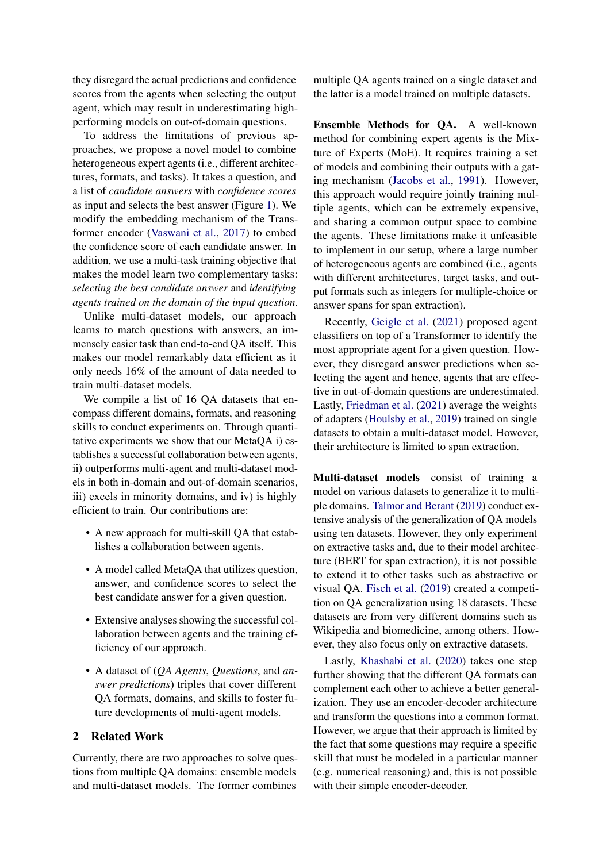they disregard the actual predictions and confidence scores from the agents when selecting the output agent, which may result in underestimating highperforming models on out-of-domain questions.

To address the limitations of previous approaches, we propose a novel model to combine heterogeneous expert agents (i.e., different architectures, formats, and tasks). It takes a question, and a list of *candidate answers* with *confidence scores* as input and selects the best answer (Figure [1\)](#page-0-1). We modify the embedding mechanism of the Transformer encoder [\(Vaswani et al.,](#page-9-3) [2017\)](#page-9-3) to embed the confidence score of each candidate answer. In addition, we use a multi-task training objective that makes the model learn two complementary tasks: *selecting the best candidate answer* and *identifying agents trained on the domain of the input question*.

Unlike multi-dataset models, our approach learns to match questions with answers, an immensely easier task than end-to-end QA itself. This makes our model remarkably data efficient as it only needs 16% of the amount of data needed to train multi-dataset models.

We compile a list of 16 QA datasets that encompass different domains, formats, and reasoning skills to conduct experiments on. Through quantitative experiments we show that our MetaQA i) establishes a successful collaboration between agents, ii) outperforms multi-agent and multi-dataset models in both in-domain and out-of-domain scenarios, iii) excels in minority domains, and iv) is highly efficient to train. Our contributions are:

- A new approach for multi-skill QA that establishes a collaboration between agents.
- A model called MetaQA that utilizes question, answer, and confidence scores to select the best candidate answer for a given question.
- Extensive analyses showing the successful collaboration between agents and the training efficiency of our approach.
- A dataset of (*QA Agents*, *Questions*, and *answer predictions*) triples that cover different QA formats, domains, and skills to foster future developments of multi-agent models.

## 2 Related Work

Currently, there are two approaches to solve questions from multiple QA domains: ensemble models and multi-dataset models. The former combines

multiple QA agents trained on a single dataset and the latter is a model trained on multiple datasets.

Ensemble Methods for QA. A well-known method for combining expert agents is the Mixture of Experts (MoE). It requires training a set of models and combining their outputs with a gating mechanism [\(Jacobs et al.,](#page-8-4) [1991\)](#page-8-4). However, this approach would require jointly training multiple agents, which can be extremely expensive, and sharing a common output space to combine the agents. These limitations make it unfeasible to implement in our setup, where a large number of heterogeneous agents are combined (i.e., agents with different architectures, target tasks, and output formats such as integers for multiple-choice or answer spans for span extraction).

Recently, [Geigle et al.](#page-8-3) [\(2021\)](#page-8-3) proposed agent classifiers on top of a Transformer to identify the most appropriate agent for a given question. However, they disregard answer predictions when selecting the agent and hence, agents that are effective in out-of-domain questions are underestimated. Lastly, [Friedman et al.](#page-8-5) [\(2021\)](#page-8-5) average the weights of adapters [\(Houlsby et al.,](#page-8-6) [2019\)](#page-8-6) trained on single datasets to obtain a multi-dataset model. However, their architecture is limited to span extraction.

Multi-dataset models consist of training a model on various datasets to generalize it to multiple domains. [Talmor and Berant](#page-9-1) [\(2019\)](#page-9-1) conduct extensive analysis of the generalization of QA models using ten datasets. However, they only experiment on extractive tasks and, due to their model architecture (BERT for span extraction), it is not possible to extend it to other tasks such as abstractive or visual QA. [Fisch et al.](#page-8-2) [\(2019\)](#page-8-2) created a competition on QA generalization using 18 datasets. These datasets are from very different domains such as Wikipedia and biomedicine, among others. However, they also focus only on extractive datasets.

Lastly, [Khashabi et al.](#page-8-1) [\(2020\)](#page-8-1) takes one step further showing that the different QA formats can complement each other to achieve a better generalization. They use an encoder-decoder architecture and transform the questions into a common format. However, we argue that their approach is limited by the fact that some questions may require a specific skill that must be modeled in a particular manner (e.g. numerical reasoning) and, this is not possible with their simple encoder-decoder.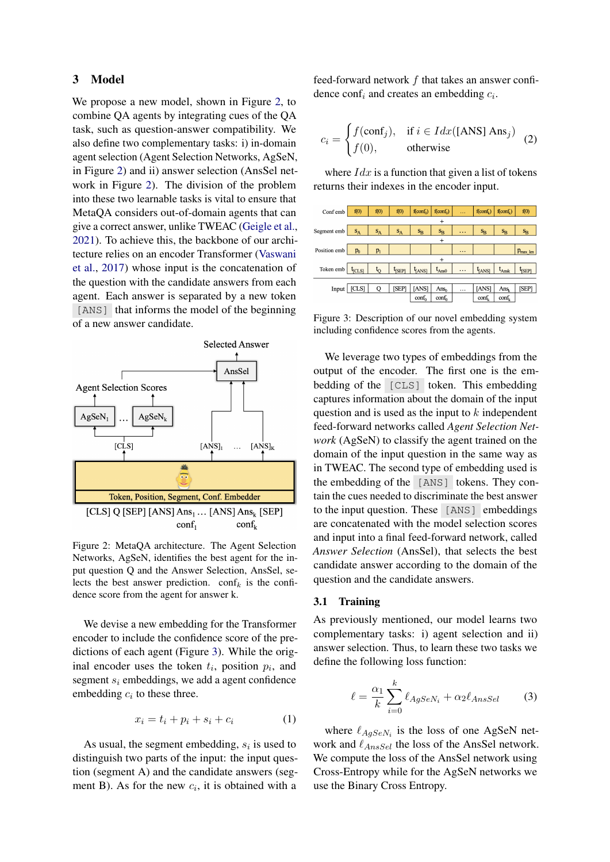## 3 Model

We propose a new model, shown in Figure [2,](#page-2-0) to combine QA agents by integrating cues of the QA task, such as question-answer compatibility. We also define two complementary tasks: i) in-domain agent selection (Agent Selection Networks, AgSeN, in Figure [2\)](#page-2-0) and ii) answer selection (AnsSel network in Figure [2\)](#page-2-0). The division of the problem into these two learnable tasks is vital to ensure that MetaQA considers out-of-domain agents that can give a correct answer, unlike TWEAC [\(Geigle et al.,](#page-8-3) [2021\)](#page-8-3). To achieve this, the backbone of our architecture relies on an encoder Transformer [\(Vaswani](#page-9-3) [et al.,](#page-9-3) [2017\)](#page-9-3) whose input is the concatenation of the question with the candidate answers from each agent. Each answer is separated by a new token [ANS] that informs the model of the beginning of a new answer candidate.

<span id="page-2-0"></span>

Figure 2: MetaQA architecture. The Agent Selection Networks, AgSeN, identifies the best agent for the input question Q and the Answer Selection, AnsSel, selects the best answer prediction.  $\text{conf}_k$  is the confidence score from the agent for answer k.

We devise a new embedding for the Transformer encoder to include the confidence score of the predictions of each agent (Figure [3\)](#page-2-1). While the original encoder uses the token  $t_i$ , position  $p_i$ , and segment  $s_i$  embeddings, we add a agent confidence embedding  $c_i$  to these three.

$$
x_i = t_i + p_i + s_i + c_i \tag{1}
$$

As usual, the segment embedding,  $s_i$  is used to distinguish two parts of the input: the input question (segment A) and the candidate answers (segment B). As for the new  $c_i$ , it is obtained with a

feed-forward network  $f$  that takes an answer confidence conf<sub>i</sub> and creates an embedding  $c_i$ .

$$
c_i = \begin{cases} f(\text{conf}_j), & \text{if } i \in \text{Idx}([\text{ANS}] \text{ Ans}_j) \\ f(0), & \text{otherwise} \end{cases}
$$
 (2)

where  $Idx$  is a function that given a list of tokens returns their indexes in the encoder input.

<span id="page-2-1"></span>

Figure 3: Description of our novel embedding system including confidence scores from the agents.

We leverage two types of embeddings from the output of the encoder. The first one is the embedding of the [CLS] token. This embedding captures information about the domain of the input question and is used as the input to  $k$  independent feed-forward networks called *Agent Selection Network* (AgSeN) to classify the agent trained on the domain of the input question in the same way as in TWEAC. The second type of embedding used is the embedding of the [ANS] tokens. They contain the cues needed to discriminate the best answer to the input question. These [ANS] embeddings are concatenated with the model selection scores and input into a final feed-forward network, called *Answer Selection* (AnsSel), that selects the best candidate answer according to the domain of the question and the candidate answers.

### 3.1 Training

As previously mentioned, our model learns two complementary tasks: i) agent selection and ii) answer selection. Thus, to learn these two tasks we define the following loss function:

<span id="page-2-2"></span>
$$
\ell = \frac{\alpha_1}{k} \sum_{i=0}^{k} \ell_{AgSeN_i} + \alpha_2 \ell_{AnsSel} \tag{3}
$$

where  $\ell_{AgSeN_i}$  is the loss of one AgSeN network and  $\ell_{AnsSel}$  the loss of the AnsSel network. We compute the loss of the AnsSel network using Cross-Entropy while for the AgSeN networks we use the Binary Cross Entropy.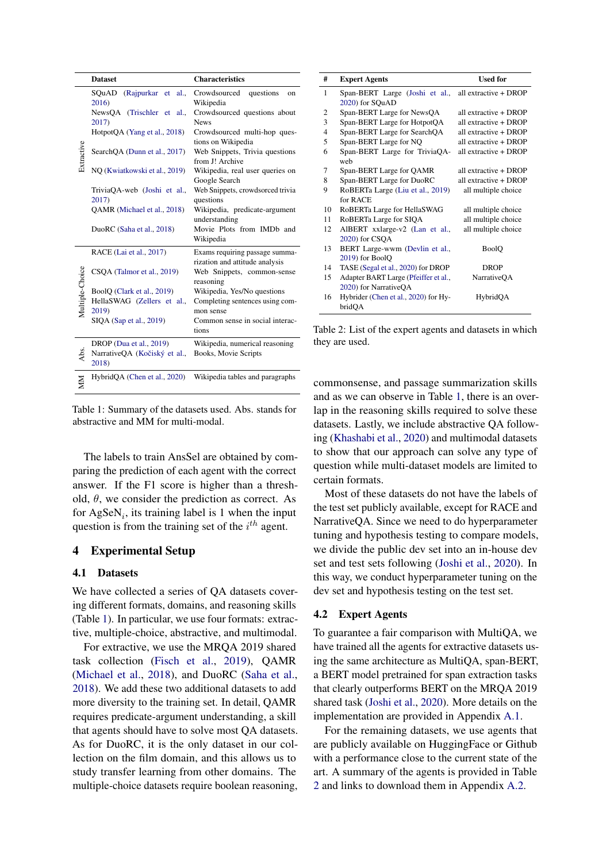<span id="page-3-0"></span>

|                 | <b>Dataset</b>                                                   | <b>Characteristics</b>                                           |  |  |
|-----------------|------------------------------------------------------------------|------------------------------------------------------------------|--|--|
|                 | SQuAD<br>(Rajpurkar et al.,<br>2016)                             | Crowdsourced<br>questions<br>on<br>Wikipedia                     |  |  |
|                 | NewsQA (Trischler et al.,<br>2017)                               | Crowdsourced questions about<br><b>News</b>                      |  |  |
|                 | HotpotQA (Yang et al., 2018)                                     | Crowdsourced multi-hop ques-<br>tions on Wikipedia               |  |  |
| Extractive      | SearchQA (Dunn et al., 2017)                                     | Web Snippets, Trivia questions<br>from J! Archive                |  |  |
|                 | NQ (Kwiatkowski et al., 2019)                                    | Wikipedia, real user queries on<br>Google Search                 |  |  |
|                 | TriviaQA-web (Joshi et al.,<br>2017)                             | Web Snippets, crowdsorced trivia<br>questions                    |  |  |
|                 | QAMR (Michael et al., 2018)                                      | Wikipedia, predicate-argument<br>understanding                   |  |  |
|                 | DuoRC (Saha et al., 2018)                                        | Movie Plots from IMDb and<br>Wikipedia                           |  |  |
|                 | RACE (Lai et al., 2017)                                          | Exams requiring passage summa-<br>rization and attitude analysis |  |  |
| Multiple-Choice | CSQA (Talmor et al., 2019)                                       | Web Snippets, common-sense<br>reasoning                          |  |  |
|                 | BoolQ (Clark et al., 2019)                                       | Wikipedia, Yes/No questions                                      |  |  |
|                 | HellaSWAG (Zellers et al.,<br>2019)                              | Completing sentences using com-<br>mon sense                     |  |  |
|                 | SIQA (Sap et al., 2019)                                          | Common sense in social interac-<br>tions                         |  |  |
| Abs.            | DROP (Dua et al., 2019)<br>NarrativeQA (Kočiský et al.,<br>2018) | Wikipedia, numerical reasoning<br>Books, Movie Scripts           |  |  |
| NIN             | HybridQA (Chen et al., 2020)                                     | Wikipedia tables and paragraphs                                  |  |  |

Table 1: Summary of the datasets used. Abs. stands for abstractive and MM for multi-modal.

The labels to train AnsSel are obtained by comparing the prediction of each agent with the correct answer. If the F1 score is higher than a threshold,  $\theta$ , we consider the prediction as correct. As for  $\text{AgSeN}_i$ , its training label is 1 when the input question is from the training set of the  $i^{th}$  agent.

### 4 Experimental Setup

#### 4.1 Datasets

We have collected a series of QA datasets covering different formats, domains, and reasoning skills (Table [1\)](#page-3-0). In particular, we use four formats: extractive, multiple-choice, abstractive, and multimodal.

For extractive, we use the MRQA 2019 shared task collection [\(Fisch et al.,](#page-8-2) [2019\)](#page-8-2), QAMR [\(Michael et al.,](#page-9-7) [2018\)](#page-9-7), and DuoRC [\(Saha et al.,](#page-9-8) [2018\)](#page-9-8). We add these two additional datasets to add more diversity to the training set. In detail, QAMR requires predicate-argument understanding, a skill that agents should have to solve most QA datasets. As for DuoRC, it is the only dataset in our collection on the film domain, and this allows us to study transfer learning from other domains. The multiple-choice datasets require boolean reasoning,

<span id="page-3-1"></span>

| #  | <b>Expert Agents</b>                 | <b>Used for</b>       |
|----|--------------------------------------|-----------------------|
| 1  | Span-BERT Large (Joshi et al.,       | all extractive + DROP |
|    | 2020) for SQuAD                      |                       |
| 2  | Span-BERT Large for NewsQA           | all extractive + DROP |
| 3  | Span-BERT Large for HotpotQA         | all extractive + DROP |
| 4  | Span-BERT Large for SearchQA         | all extractive + DROP |
| 5  | Span-BERT Large for NQ               | all extractive + DROP |
| 6  | Span-BERT Large for TriviaQA-        | all extractive + DROP |
|    | web                                  |                       |
| 7  | Span-BERT Large for QAMR             | all extractive + DROP |
| 8  | Span-BERT Large for DuoRC            | all extractive + DROP |
| 9  | RoBERTa Large (Liu et al., 2019)     | all multiple choice   |
|    | for $R$ ACE                          |                       |
| 10 | RoBERTa Large for HellaSWAG          | all multiple choice   |
| 11 | RoBERTa Large for SIQA               | all multiple choice   |
| 12 | AlBERT xxlarge-v2 (Lan et al.,       | all multiple choice   |
|    | 2020) for CSOA                       |                       |
| 13 | BERT Large-wwm (Devlin et al.,       | <b>BoolO</b>          |
|    | 2019) for BoolQ                      |                       |
| 14 | TASE (Segal et al., 2020) for DROP   | <b>DROP</b>           |
| 15 | Adapter BART Large (Pfeiffer et al., | <b>NarrativeQA</b>    |
|    | 2020) for NarrativeQA                |                       |
| 16 | Hybrider (Chen et al., 2020) for Hy- | HybridQA              |
|    | bridQA                               |                       |

Table 2: List of the expert agents and datasets in which they are used.

commonsense, and passage summarization skills and as we can observe in Table [1,](#page-3-0) there is an overlap in the reasoning skills required to solve these datasets. Lastly, we include abstractive QA following [\(Khashabi et al.,](#page-8-1) [2020\)](#page-8-1) and multimodal datasets to show that our approach can solve any type of question while multi-dataset models are limited to certain formats.

Most of these datasets do not have the labels of the test set publicly available, except for RACE and NarrativeQA. Since we need to do hyperparameter tuning and hypothesis testing to compare models, we divide the public dev set into an in-house dev set and test sets following [\(Joshi et al.,](#page-8-13) [2020\)](#page-8-13). In this way, we conduct hyperparameter tuning on the dev set and hypothesis testing on the test set.

#### 4.2 Expert Agents

To guarantee a fair comparison with MultiQA, we have trained all the agents for extractive datasets using the same architecture as MultiQA, span-BERT, a BERT model pretrained for span extraction tasks that clearly outperforms BERT on the MRQA 2019 shared task [\(Joshi et al.,](#page-8-13) [2020\)](#page-8-13). More details on the implementation are provided in Appendix [A.1.](#page-11-0)

For the remaining datasets, we use agents that are publicly available on HuggingFace or Github with a performance close to the current state of the art. A summary of the agents is provided in Table [2](#page-3-1) and links to download them in Appendix [A.2.](#page-11-1)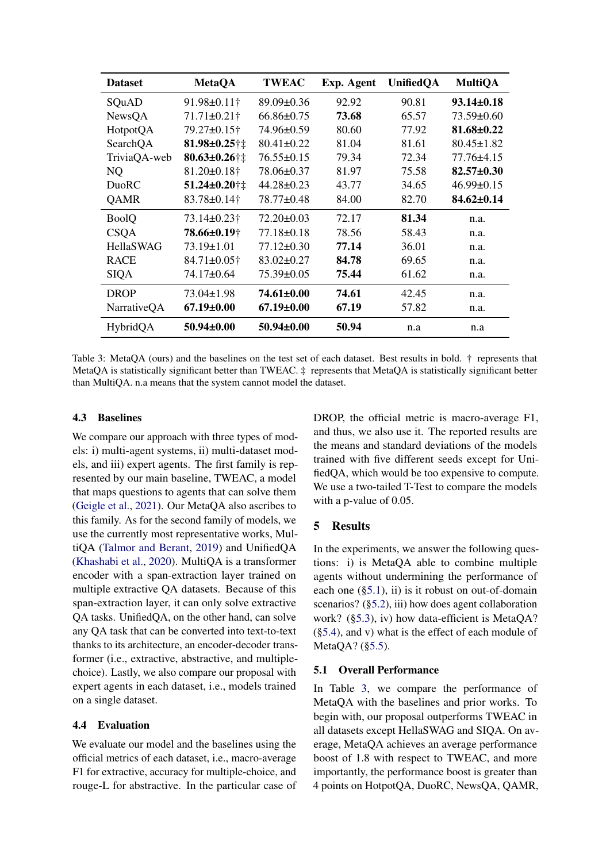<span id="page-4-1"></span>

| <b>Dataset</b> | <b>MetaQA</b>       | <b>TWEAC</b>     | Exp. Agent | <b>UnifiedQA</b> | <b>MultiQA</b>   |
|----------------|---------------------|------------------|------------|------------------|------------------|
| SQuAD          | $91.98 \pm 0.11$ †  | $89.09 \pm 0.36$ | 92.92      | 90.81            | $93.14 \pm 0.18$ |
| NewsQA         | $71.71 \pm 0.21$ †  | $66.86 \pm 0.75$ | 73.68      | 65.57            | $73.59 \pm 0.60$ |
| HotpotQA       | 79.27±0.15†         | 74.96±0.59       | 80.60      | 77.92            | $81.68 \pm 0.22$ |
| SearchQA       | 81.98±0.25†‡        | $80.41 \pm 0.22$ | 81.04      | 81.61            | $80.45 \pm 1.82$ |
| TriviaQA-web   | $80.63 \pm 0.26$ †‡ | $76.55 \pm 0.15$ | 79.34      | 72.34            | 77.76±4.15       |
| NQ             | $81.20 \pm 0.18$ †  | 78.06±0.37       | 81.97      | 75.58            | $82.57 \pm 0.30$ |
| DuoRC          | 51.24±0.20†‡        | $44.28 \pm 0.23$ | 43.77      | 34.65            | $46.99 \pm 0.15$ |
| <b>QAMR</b>    | 83.78±0.14†         | 78.77±0.48       | 84.00      | 82.70            | $84.62 \pm 0.14$ |
| <b>BoolQ</b>   | $73.14 \pm 0.23$ †  | $72.20 \pm 0.03$ | 72.17      | 81.34            | n.a.             |
| <b>CSQA</b>    | 78.66±0.19†         | $77.18 \pm 0.18$ | 78.56      | 58.43            | n.a.             |
| HellaSWAG      | $73.19 \pm 1.01$    | $77.12 \pm 0.30$ | 77.14      | 36.01            | n.a.             |
| <b>RACE</b>    | 84.71±0.05†         | $83.02 \pm 0.27$ | 84.78      | 69.65            | n.a.             |
| SIQA           | 74.17±0.64          | $75.39 \pm 0.05$ | 75.44      | 61.62            | n.a.             |
| <b>DROP</b>    | 73.04±1.98          | 74.61±0.00       | 74.61      | 42.45            | n.a.             |
| NarrativeQA    | $67.19{\pm}0.00$    | $67.19 \pm 0.00$ | 67.19      | 57.82            | n.a.             |
| HybridQA       | $50.94 \pm 0.00$    | $50.94 \pm 0.00$ | 50.94      | n.a              | n.a              |

Table 3: MetaQA (ours) and the baselines on the test set of each dataset. Best results in bold. † represents that MetaQA is statistically significant better than TWEAC. ‡ represents that MetaQA is statistically significant better than MultiQA. n.a means that the system cannot model the dataset.

## 4.3 Baselines

We compare our approach with three types of models: i) multi-agent systems, ii) multi-dataset models, and iii) expert agents. The first family is represented by our main baseline, TWEAC, a model that maps questions to agents that can solve them [\(Geigle et al.,](#page-8-3) [2021\)](#page-8-3). Our MetaQA also ascribes to this family. As for the second family of models, we use the currently most representative works, MultiQA [\(Talmor and Berant,](#page-9-1) [2019\)](#page-9-1) and UnifiedQA [\(Khashabi et al.,](#page-8-1) [2020\)](#page-8-1). MultiQA is a transformer encoder with a span-extraction layer trained on multiple extractive QA datasets. Because of this span-extraction layer, it can only solve extractive QA tasks. UnifiedQA, on the other hand, can solve any QA task that can be converted into text-to-text thanks to its architecture, an encoder-decoder transformer (i.e., extractive, abstractive, and multiplechoice). Lastly, we also compare our proposal with expert agents in each dataset, i.e., models trained on a single dataset.

## 4.4 Evaluation

We evaluate our model and the baselines using the official metrics of each dataset, i.e., macro-average F1 for extractive, accuracy for multiple-choice, and rouge-L for abstractive. In the particular case of DROP, the official metric is macro-average F1, and thus, we also use it. The reported results are the means and standard deviations of the models trained with five different seeds except for UnifiedQA, which would be too expensive to compute. We use a two-tailed T-Test to compare the models with a p-value of 0.05.

## 5 Results

In the experiments, we answer the following questions: i) is MetaQA able to combine multiple agents without undermining the performance of each one  $(\S 5.1)$ , ii) is it robust on out-of-domain scenarios? ([§5.2\)](#page-5-0), iii) how does agent collaboration work? ([§5.3\)](#page-5-1), iv) how data-efficient is MetaQA? ([§5.4\)](#page-6-0), and v) what is the effect of each module of MetaQA? ([§5.5\)](#page-7-2).

## <span id="page-4-0"></span>5.1 Overall Performance

In Table [3,](#page-4-1) we compare the performance of MetaQA with the baselines and prior works. To begin with, our proposal outperforms TWEAC in all datasets except HellaSWAG and SIQA. On average, MetaQA achieves an average performance boost of 1.8 with respect to TWEAC, and more importantly, the performance boost is greater than 4 points on HotpotQA, DuoRC, NewsQA, QAMR,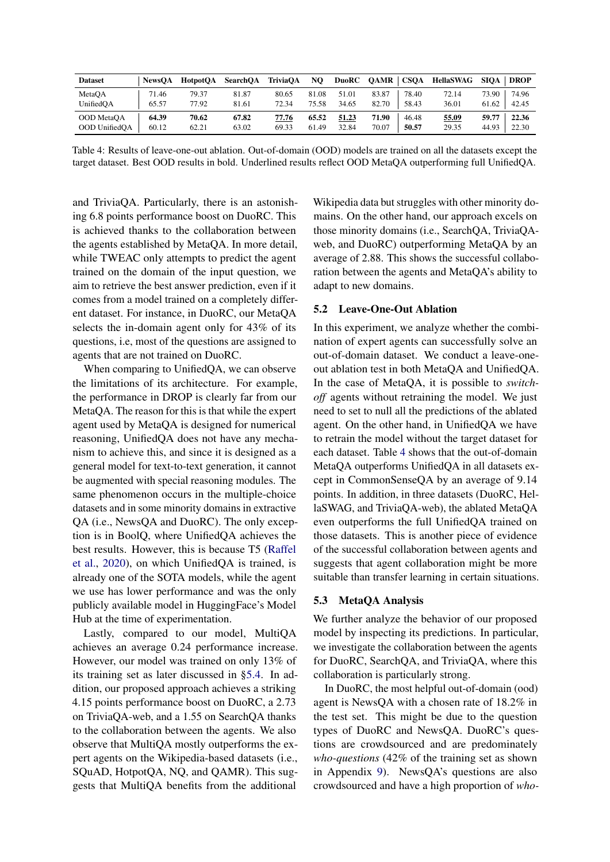<span id="page-5-2"></span>

| <b>Dataset</b> | <b>NewsOA</b> | <b>HotpotOA</b> | <b>SearchOA</b> | <b>TriviaQA</b> | NQ.   | DuoRC | <b>OAMR</b> | <b>CSOA</b> | HellaSWAG | <b>SIOA</b> | <b>DROP</b> |
|----------------|---------------|-----------------|-----------------|-----------------|-------|-------|-------------|-------------|-----------|-------------|-------------|
| MetaOA         | 71.46         | 79.37           | 81.87           | 80.65           | 81.08 | 51.01 | 83.87       | 78.40       | 72.14     | 73.90       | 74.96       |
| UnifiedOA      | 65.57         | 77.92           | 81.61           | 72.34           | 75.58 | 34.65 | 82.70       | 58.43       | 36.01     | 61.62       | 42.45       |
| OOD MetaOA     | 64.39         | 70.62           | 67.82           | 77.76           | 65.52 | 51.23 | 71.90       | 46.48       | 55.09     | 59.77       | 22.36       |
| OOD UnifiedOA  | 60.12         | 62.21           | 63.02           | 69.33           | 61.49 | 32.84 | 70.07       | 50.57       | 29.35     | 44.93       | 22.30       |

Table 4: Results of leave-one-out ablation. Out-of-domain (OOD) models are trained on all the datasets except the target dataset. Best OOD results in bold. Underlined results reflect OOD MetaQA outperforming full UnifiedQA.

and TriviaQA. Particularly, there is an astonishing 6.8 points performance boost on DuoRC. This is achieved thanks to the collaboration between the agents established by MetaQA. In more detail, while TWEAC only attempts to predict the agent trained on the domain of the input question, we aim to retrieve the best answer prediction, even if it comes from a model trained on a completely different dataset. For instance, in DuoRC, our MetaQA selects the in-domain agent only for 43% of its questions, i.e, most of the questions are assigned to agents that are not trained on DuoRC.

When comparing to UnifiedQA, we can observe the limitations of its architecture. For example, the performance in DROP is clearly far from our MetaQA. The reason for this is that while the expert agent used by MetaQA is designed for numerical reasoning, UnifiedQA does not have any mechanism to achieve this, and since it is designed as a general model for text-to-text generation, it cannot be augmented with special reasoning modules. The same phenomenon occurs in the multiple-choice datasets and in some minority domains in extractive QA (i.e., NewsQA and DuoRC). The only exception is in BoolQ, where UnifiedQA achieves the best results. However, this is because T5 [\(Raffel](#page-9-2) [et al.,](#page-9-2) [2020\)](#page-9-2), on which UnifiedQA is trained, is already one of the SOTA models, while the agent we use has lower performance and was the only publicly available model in HuggingFace's Model Hub at the time of experimentation.

Lastly, compared to our model, MultiQA achieves an average 0.24 performance increase. However, our model was trained on only 13% of its training set as later discussed in [§5.4.](#page-6-0) In addition, our proposed approach achieves a striking 4.15 points performance boost on DuoRC, a 2.73 on TriviaQA-web, and a 1.55 on SearchQA thanks to the collaboration between the agents. We also observe that MultiQA mostly outperforms the expert agents on the Wikipedia-based datasets (i.e., SQuAD, HotpotQA, NQ, and QAMR). This suggests that MultiQA benefits from the additional

Wikipedia data but struggles with other minority domains. On the other hand, our approach excels on those minority domains (i.e., SearchQA, TriviaQAweb, and DuoRC) outperforming MetaQA by an average of 2.88. This shows the successful collaboration between the agents and MetaQA's ability to adapt to new domains.

#### <span id="page-5-0"></span>5.2 Leave-One-Out Ablation

In this experiment, we analyze whether the combination of expert agents can successfully solve an out-of-domain dataset. We conduct a leave-oneout ablation test in both MetaQA and UnifiedQA. In the case of MetaQA, it is possible to *switchoff* agents without retraining the model. We just need to set to null all the predictions of the ablated agent. On the other hand, in UnifiedQA we have to retrain the model without the target dataset for each dataset. Table [4](#page-5-2) shows that the out-of-domain MetaQA outperforms UnifiedQA in all datasets except in CommonSenseQA by an average of 9.14 points. In addition, in three datasets (DuoRC, HellaSWAG, and TriviaQA-web), the ablated MetaQA even outperforms the full UnifiedQA trained on those datasets. This is another piece of evidence of the successful collaboration between agents and suggests that agent collaboration might be more suitable than transfer learning in certain situations.

#### <span id="page-5-1"></span>5.3 MetaQA Analysis

We further analyze the behavior of our proposed model by inspecting its predictions. In particular, we investigate the collaboration between the agents for DuoRC, SearchQA, and TriviaQA, where this collaboration is particularly strong.

In DuoRC, the most helpful out-of-domain (ood) agent is NewsQA with a chosen rate of 18.2% in the test set. This might be due to the question types of DuoRC and NewsQA. DuoRC's questions are crowdsourced and are predominately *who-questions* (42% of the training set as shown in Appendix [9\)](#page-12-0). NewsQA's questions are also crowdsourced and have a high proportion of *who-*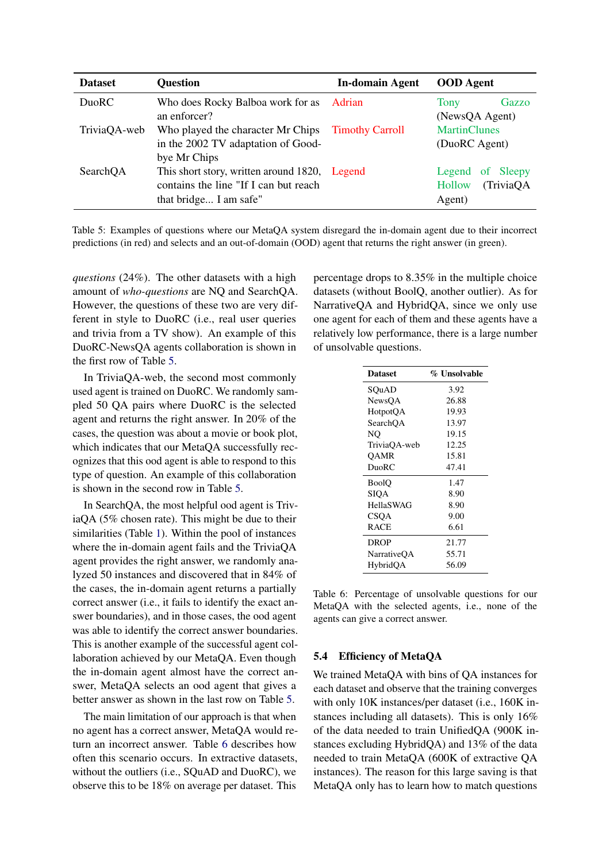<span id="page-6-1"></span>

| <b>Dataset</b> | <b>Question</b>                                                                                                  | <b>In-domain Agent</b> | <b>OOD</b> Agent                                  |
|----------------|------------------------------------------------------------------------------------------------------------------|------------------------|---------------------------------------------------|
| DuoRC          | Who does Rocky Balboa work for as Adrian<br>an enforcer?                                                         |                        | Gazzo<br>Tony<br>(NewsQA Agent)                   |
| TriviaQA-web   | Who played the character Mr Chips Timothy Carroll<br>in the 2002 TV adaptation of Good-<br>bye Mr Chips          |                        | <b>MartinClunes</b><br>(DuoRC Agent)              |
| SearchQA       | This short story, written around 1820, Legend<br>contains the line "If I can but reach<br>that bridge I am safe" |                        | Legend of Sleepy<br>(TriviaQA<br>Hollow<br>Agent) |

Table 5: Examples of questions where our MetaQA system disregard the in-domain agent due to their incorrect predictions (in red) and selects and an out-of-domain (OOD) agent that returns the right answer (in green).

*questions* (24%). The other datasets with a high amount of *who-questions* are NQ and SearchQA. However, the questions of these two are very different in style to DuoRC (i.e., real user queries and trivia from a TV show). An example of this DuoRC-NewsQA agents collaboration is shown in the first row of Table [5.](#page-6-1)

In TriviaQA-web, the second most commonly used agent is trained on DuoRC. We randomly sampled 50 QA pairs where DuoRC is the selected agent and returns the right answer. In 20% of the cases, the question was about a movie or book plot, which indicates that our MetaQA successfully recognizes that this ood agent is able to respond to this type of question. An example of this collaboration is shown in the second row in Table [5.](#page-6-1)

In SearchQA, the most helpful ood agent is TriviaQA (5% chosen rate). This might be due to their similarities (Table [1\)](#page-3-0). Within the pool of instances where the in-domain agent fails and the TriviaQA agent provides the right answer, we randomly analyzed 50 instances and discovered that in 84% of the cases, the in-domain agent returns a partially correct answer (i.e., it fails to identify the exact answer boundaries), and in those cases, the ood agent was able to identify the correct answer boundaries. This is another example of the successful agent collaboration achieved by our MetaQA. Even though the in-domain agent almost have the correct answer, MetaQA selects an ood agent that gives a better answer as shown in the last row on Table [5.](#page-6-1)

The main limitation of our approach is that when no agent has a correct answer, MetaQA would return an incorrect answer. Table [6](#page-6-2) describes how often this scenario occurs. In extractive datasets, without the outliers (i.e., SQuAD and DuoRC), we observe this to be 18% on average per dataset. This

percentage drops to 8.35% in the multiple choice datasets (without BoolQ, another outlier). As for NarrativeQA and HybridQA, since we only use one agent for each of them and these agents have a relatively low performance, there is a large number of unsolvable questions.

<span id="page-6-2"></span>

| <b>Dataset</b>     | % Unsolvable |
|--------------------|--------------|
| SOuAD              | 3.92         |
| NewsOA             | 26.88        |
| HotpotQA           | 19.93        |
| SearchOA           | 13.97        |
| NO                 | 19.15        |
| TriviaOA-web       | 12.25        |
| OAMR               | 15.81        |
| DuoRC              | 47.41        |
| <b>BoolO</b>       | 1.47         |
| SIOA               | 8.90         |
| <b>HellaSWAG</b>   | 8.90         |
| CSOA               | 9.00         |
| <b>RACE</b>        | 6.61         |
| <b>DROP</b>        | 21.77        |
| <b>NarrativeOA</b> | 55.71        |
| HybridOA           | 56.09        |

Table 6: Percentage of unsolvable questions for our MetaQA with the selected agents, i.e., none of the agents can give a correct answer.

## <span id="page-6-0"></span>5.4 Efficiency of MetaQA

We trained MetaQA with bins of QA instances for each dataset and observe that the training converges with only 10K instances/per dataset (i.e., 160K instances including all datasets). This is only 16% of the data needed to train UnifiedQA (900K instances excluding HybridQA) and 13% of the data needed to train MetaQA (600K of extractive QA instances). The reason for this large saving is that MetaQA only has to learn how to match questions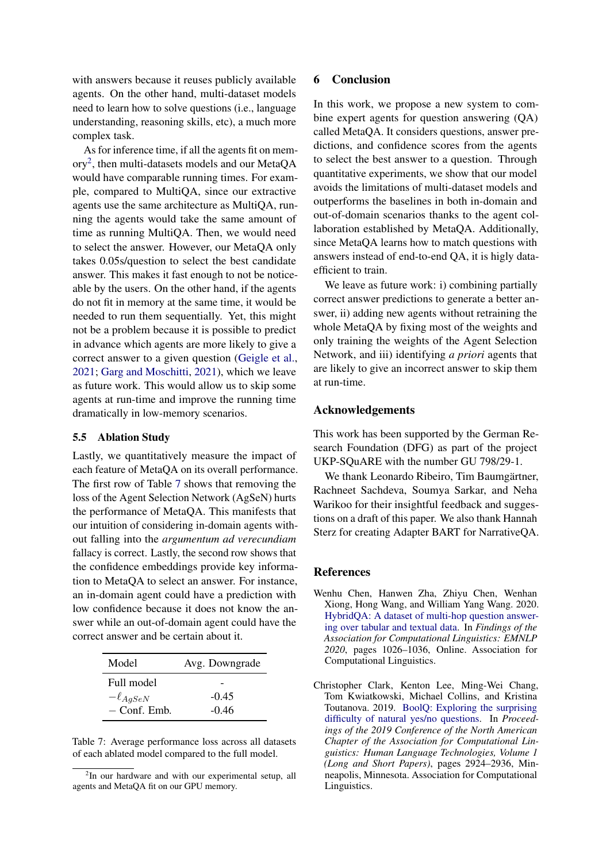with answers because it reuses publicly available agents. On the other hand, multi-dataset models need to learn how to solve questions (i.e., language understanding, reasoning skills, etc), a much more complex task.

As for inference time, if all the agents fit on memory[2](#page-7-3) , then multi-datasets models and our MetaQA would have comparable running times. For example, compared to MultiQA, since our extractive agents use the same architecture as MultiQA, running the agents would take the same amount of time as running MultiQA. Then, we would need to select the answer. However, our MetaQA only takes 0.05s/question to select the best candidate answer. This makes it fast enough to not be noticeable by the users. On the other hand, if the agents do not fit in memory at the same time, it would be needed to run them sequentially. Yet, this might not be a problem because it is possible to predict in advance which agents are more likely to give a correct answer to a given question [\(Geigle et al.,](#page-8-3) [2021;](#page-8-3) [Garg and Moschitti,](#page-8-16) [2021\)](#page-8-16), which we leave as future work. This would allow us to skip some agents at run-time and improve the running time dramatically in low-memory scenarios.

#### <span id="page-7-2"></span>5.5 Ablation Study

Lastly, we quantitatively measure the impact of each feature of MetaQA on its overall performance. The first row of Table [7](#page-7-4) shows that removing the loss of the Agent Selection Network (AgSeN) hurts the performance of MetaQA. This manifests that our intuition of considering in-domain agents without falling into the *argumentum ad verecundiam* fallacy is correct. Lastly, the second row shows that the confidence embeddings provide key information to MetaQA to select an answer. For instance, an in-domain agent could have a prediction with low confidence because it does not know the answer while an out-of-domain agent could have the correct answer and be certain about it.

<span id="page-7-4"></span>

| Model           | Avg. Downgrade |
|-----------------|----------------|
| Full model      |                |
| $-\ell_{AgSeN}$ | $-0.45$        |
| $-$ Conf. Emb.  | $-0.46$        |

Table 7: Average performance loss across all datasets of each ablated model compared to the full model.

## 6 Conclusion

In this work, we propose a new system to combine expert agents for question answering (QA) called MetaQA. It considers questions, answer predictions, and confidence scores from the agents to select the best answer to a question. Through quantitative experiments, we show that our model avoids the limitations of multi-dataset models and outperforms the baselines in both in-domain and out-of-domain scenarios thanks to the agent collaboration established by MetaQA. Additionally, since MetaQA learns how to match questions with answers instead of end-to-end QA, it is higly dataefficient to train.

We leave as future work: i) combining partially correct answer predictions to generate a better answer, ii) adding new agents without retraining the whole MetaQA by fixing most of the weights and only training the weights of the Agent Selection Network, and iii) identifying *a priori* agents that are likely to give an incorrect answer to skip them at run-time.

## Acknowledgements

This work has been supported by the German Research Foundation (DFG) as part of the project UKP-SQuARE with the number GU 798/29-1.

We thank Leonardo Ribeiro, Tim Baumgärtner, Rachneet Sachdeva, Soumya Sarkar, and Neha Warikoo for their insightful feedback and suggestions on a draft of this paper. We also thank Hannah Sterz for creating Adapter BART for NarrativeQA.

### References

<span id="page-7-1"></span>Wenhu Chen, Hanwen Zha, Zhiyu Chen, Wenhan Xiong, Hong Wang, and William Yang Wang. 2020. [HybridQA: A dataset of multi-hop question answer](https://doi.org/10.18653/v1/2020.findings-emnlp.91)[ing over tabular and textual data.](https://doi.org/10.18653/v1/2020.findings-emnlp.91) In *Findings of the Association for Computational Linguistics: EMNLP 2020*, pages 1026–1036, Online. Association for Computational Linguistics.

<span id="page-7-3"></span><sup>&</sup>lt;sup>2</sup>In our hardware and with our experimental setup, all agents and MetaQA fit on our GPU memory.

<span id="page-7-0"></span>Christopher Clark, Kenton Lee, Ming-Wei Chang, Tom Kwiatkowski, Michael Collins, and Kristina Toutanova. 2019. [BoolQ: Exploring the surprising](https://doi.org/10.18653/v1/N19-1300) [difficulty of natural yes/no questions.](https://doi.org/10.18653/v1/N19-1300) In *Proceedings of the 2019 Conference of the North American Chapter of the Association for Computational Linguistics: Human Language Technologies, Volume 1 (Long and Short Papers)*, pages 2924–2936, Minneapolis, Minnesota. Association for Computational Linguistics.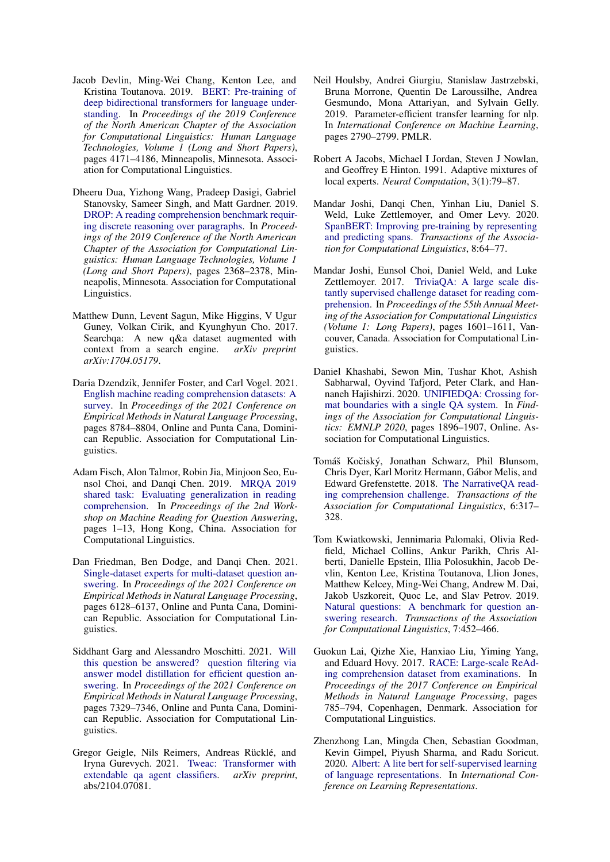- <span id="page-8-15"></span>Jacob Devlin, Ming-Wei Chang, Kenton Lee, and Kristina Toutanova. 2019. [BERT: Pre-training of](https://doi.org/10.18653/v1/N19-1423) [deep bidirectional transformers for language under](https://doi.org/10.18653/v1/N19-1423)[standing.](https://doi.org/10.18653/v1/N19-1423) In *Proceedings of the 2019 Conference of the North American Chapter of the Association for Computational Linguistics: Human Language Technologies, Volume 1 (Long and Short Papers)*, pages 4171–4186, Minneapolis, Minnesota. Association for Computational Linguistics.
- <span id="page-8-11"></span>Dheeru Dua, Yizhong Wang, Pradeep Dasigi, Gabriel Stanovsky, Sameer Singh, and Matt Gardner. 2019. [DROP: A reading comprehension benchmark requir](https://doi.org/10.18653/v1/N19-1246)[ing discrete reasoning over paragraphs.](https://doi.org/10.18653/v1/N19-1246) In *Proceedings of the 2019 Conference of the North American Chapter of the Association for Computational Linguistics: Human Language Technologies, Volume 1 (Long and Short Papers)*, pages 2368–2378, Minneapolis, Minnesota. Association for Computational Linguistics.
- <span id="page-8-7"></span>Matthew Dunn, Levent Sagun, Mike Higgins, V Ugur Guney, Volkan Cirik, and Kyunghyun Cho. 2017. Searchqa: A new q&a dataset augmented with context from a search engine. *arXiv preprint arXiv:1704.05179*.
- <span id="page-8-0"></span>Daria Dzendzik, Jennifer Foster, and Carl Vogel. 2021. [English machine reading comprehension datasets: A](https://aclanthology.org/2021.emnlp-main.693) [survey.](https://aclanthology.org/2021.emnlp-main.693) In *Proceedings of the 2021 Conference on Empirical Methods in Natural Language Processing*, pages 8784–8804, Online and Punta Cana, Dominican Republic. Association for Computational Linguistics.
- <span id="page-8-2"></span>Adam Fisch, Alon Talmor, Robin Jia, Minjoon Seo, Eunsol Choi, and Danqi Chen. 2019. [MRQA 2019](https://doi.org/10.18653/v1/D19-5801) [shared task: Evaluating generalization in reading](https://doi.org/10.18653/v1/D19-5801) [comprehension.](https://doi.org/10.18653/v1/D19-5801) In *Proceedings of the 2nd Workshop on Machine Reading for Question Answering*, pages 1–13, Hong Kong, China. Association for Computational Linguistics.
- <span id="page-8-5"></span>Dan Friedman, Ben Dodge, and Danqi Chen. 2021. [Single-dataset experts for multi-dataset question an](https://aclanthology.org/2021.emnlp-main.495)[swering.](https://aclanthology.org/2021.emnlp-main.495) In *Proceedings of the 2021 Conference on Empirical Methods in Natural Language Processing*, pages 6128–6137, Online and Punta Cana, Dominican Republic. Association for Computational Linguistics.
- <span id="page-8-16"></span>Siddhant Garg and Alessandro Moschitti. 2021. [Will](https://aclanthology.org/2021.emnlp-main.583) [this question be answered? question filtering via](https://aclanthology.org/2021.emnlp-main.583) [answer model distillation for efficient question an](https://aclanthology.org/2021.emnlp-main.583)[swering.](https://aclanthology.org/2021.emnlp-main.583) In *Proceedings of the 2021 Conference on Empirical Methods in Natural Language Processing*, pages 7329–7346, Online and Punta Cana, Dominican Republic. Association for Computational Linguistics.
- <span id="page-8-3"></span>Gregor Geigle, Nils Reimers, Andreas Rücklé, and Iryna Gurevych. 2021. [Tweac: Transformer with](http://arxiv.org/abs/2104.07081) [extendable qa agent classifiers.](http://arxiv.org/abs/2104.07081) *arXiv preprint*, abs/2104.07081.
- <span id="page-8-6"></span>Neil Houlsby, Andrei Giurgiu, Stanislaw Jastrzebski, Bruna Morrone, Quentin De Laroussilhe, Andrea Gesmundo, Mona Attariyan, and Sylvain Gelly. 2019. Parameter-efficient transfer learning for nlp. In *International Conference on Machine Learning*, pages 2790–2799. PMLR.
- <span id="page-8-4"></span>Robert A Jacobs, Michael I Jordan, Steven J Nowlan, and Geoffrey E Hinton. 1991. Adaptive mixtures of local experts. *Neural Computation*, 3(1):79–87.
- <span id="page-8-13"></span>Mandar Joshi, Danqi Chen, Yinhan Liu, Daniel S. Weld, Luke Zettlemoyer, and Omer Levy. 2020. [SpanBERT: Improving pre-training by representing](https://doi.org/10.1162/tacl_a_00300) [and predicting spans.](https://doi.org/10.1162/tacl_a_00300) *Transactions of the Association for Computational Linguistics*, 8:64–77.
- <span id="page-8-9"></span>Mandar Joshi, Eunsol Choi, Daniel Weld, and Luke Zettlemoyer. 2017. [TriviaQA: A large scale dis](https://doi.org/10.18653/v1/P17-1147)[tantly supervised challenge dataset for reading com](https://doi.org/10.18653/v1/P17-1147)[prehension.](https://doi.org/10.18653/v1/P17-1147) In *Proceedings of the 55th Annual Meeting of the Association for Computational Linguistics (Volume 1: Long Papers)*, pages 1601–1611, Vancouver, Canada. Association for Computational Linguistics.
- <span id="page-8-1"></span>Daniel Khashabi, Sewon Min, Tushar Khot, Ashish Sabharwal, Oyvind Tafjord, Peter Clark, and Hannaneh Hajishirzi. 2020. [UNIFIEDQA: Crossing for](https://doi.org/10.18653/v1/2020.findings-emnlp.171)[mat boundaries with a single QA system.](https://doi.org/10.18653/v1/2020.findings-emnlp.171) In *Findings of the Association for Computational Linguistics: EMNLP 2020*, pages 1896–1907, Online. Association for Computational Linguistics.
- <span id="page-8-12"></span>Tomáš Kočiský, Jonathan Schwarz, Phil Blunsom, Chris Dyer, Karl Moritz Hermann, Gábor Melis, and Edward Grefenstette. 2018. [The NarrativeQA read](https://doi.org/10.1162/tacl_a_00023)[ing comprehension challenge.](https://doi.org/10.1162/tacl_a_00023) *Transactions of the Association for Computational Linguistics*, 6:317– 328.
- <span id="page-8-8"></span>Tom Kwiatkowski, Jennimaria Palomaki, Olivia Redfield, Michael Collins, Ankur Parikh, Chris Alberti, Danielle Epstein, Illia Polosukhin, Jacob Devlin, Kenton Lee, Kristina Toutanova, Llion Jones, Matthew Kelcey, Ming-Wei Chang, Andrew M. Dai, Jakob Uszkoreit, Quoc Le, and Slav Petrov. 2019. [Natural questions: A benchmark for question an](https://doi.org/10.1162/tacl_a_00276)[swering research.](https://doi.org/10.1162/tacl_a_00276) *Transactions of the Association for Computational Linguistics*, 7:452–466.
- <span id="page-8-10"></span>Guokun Lai, Qizhe Xie, Hanxiao Liu, Yiming Yang, and Eduard Hovy. 2017. [RACE: Large-scale ReAd](https://doi.org/10.18653/v1/D17-1082)[ing comprehension dataset from examinations.](https://doi.org/10.18653/v1/D17-1082) In *Proceedings of the 2017 Conference on Empirical Methods in Natural Language Processing*, pages 785–794, Copenhagen, Denmark. Association for Computational Linguistics.
- <span id="page-8-14"></span>Zhenzhong Lan, Mingda Chen, Sebastian Goodman, Kevin Gimpel, Piyush Sharma, and Radu Soricut. 2020. [Albert: A lite bert for self-supervised learning](https://openreview.net/forum?id=H1eA7AEtvS) [of language representations.](https://openreview.net/forum?id=H1eA7AEtvS) In *International Conference on Learning Representations*.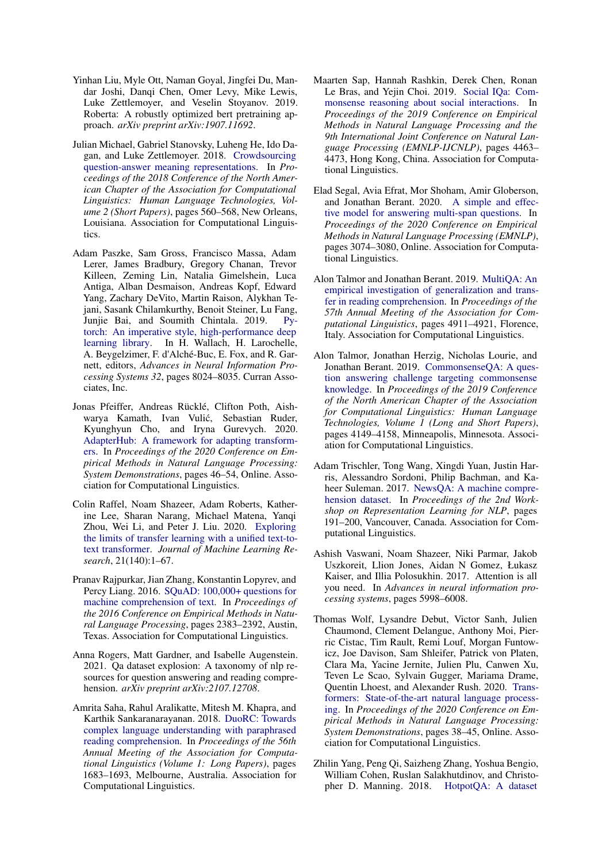- <span id="page-9-11"></span>Yinhan Liu, Myle Ott, Naman Goyal, Jingfei Du, Mandar Joshi, Danqi Chen, Omer Levy, Mike Lewis, Luke Zettlemoyer, and Veselin Stoyanov. 2019. Roberta: A robustly optimized bert pretraining approach. *arXiv preprint arXiv:1907.11692*.
- <span id="page-9-7"></span>Julian Michael, Gabriel Stanovsky, Luheng He, Ido Dagan, and Luke Zettlemoyer. 2018. [Crowdsourcing](https://doi.org/10.18653/v1/N18-2089) [question-answer meaning representations.](https://doi.org/10.18653/v1/N18-2089) In *Proceedings of the 2018 Conference of the North American Chapter of the Association for Computational Linguistics: Human Language Technologies, Volume 2 (Short Papers)*, pages 560–568, New Orleans, Louisiana. Association for Computational Linguistics.
- <span id="page-9-14"></span>Adam Paszke, Sam Gross, Francisco Massa, Adam Lerer, James Bradbury, Gregory Chanan, Trevor Killeen, Zeming Lin, Natalia Gimelshein, Luca Antiga, Alban Desmaison, Andreas Kopf, Edward Yang, Zachary DeVito, Martin Raison, Alykhan Tejani, Sasank Chilamkurthy, Benoit Steiner, Lu Fang, Junjie Bai, and Soumith Chintala. 2019. [Py](http://papers.neurips.cc/paper/9015-pytorch-an-imperative-style-high-performance-deep-learning-library.pdf)[torch: An imperative style, high-performance deep](http://papers.neurips.cc/paper/9015-pytorch-an-imperative-style-high-performance-deep-learning-library.pdf) [learning library.](http://papers.neurips.cc/paper/9015-pytorch-an-imperative-style-high-performance-deep-learning-library.pdf) In H. Wallach, H. Larochelle, A. Beygelzimer, F. d'Alché-Buc, E. Fox, and R. Garnett, editors, *Advances in Neural Information Processing Systems 32*, pages 8024–8035. Curran Associates, Inc.
- <span id="page-9-13"></span>Jonas Pfeiffer, Andreas Rücklé, Clifton Poth, Aishwarya Kamath, Ivan Vulic, Sebastian Ruder, ´ Kyunghyun Cho, and Iryna Gurevych. 2020. [AdapterHub: A framework for adapting transform](https://doi.org/10.18653/v1/2020.emnlp-demos.7)[ers.](https://doi.org/10.18653/v1/2020.emnlp-demos.7) In *Proceedings of the 2020 Conference on Empirical Methods in Natural Language Processing: System Demonstrations*, pages 46–54, Online. Association for Computational Linguistics.
- <span id="page-9-2"></span>Colin Raffel, Noam Shazeer, Adam Roberts, Katherine Lee, Sharan Narang, Michael Matena, Yanqi Zhou, Wei Li, and Peter J. Liu. 2020. [Exploring](http://jmlr.org/papers/v21/20-074.html) [the limits of transfer learning with a unified text-to](http://jmlr.org/papers/v21/20-074.html)[text transformer.](http://jmlr.org/papers/v21/20-074.html) *Journal of Machine Learning Research*, 21(140):1–67.
- <span id="page-9-4"></span>Pranav Rajpurkar, Jian Zhang, Konstantin Lopyrev, and Percy Liang. 2016. [SQuAD: 100,000+ questions for](https://doi.org/10.18653/v1/D16-1264) [machine comprehension of text.](https://doi.org/10.18653/v1/D16-1264) In *Proceedings of the 2016 Conference on Empirical Methods in Natural Language Processing*, pages 2383–2392, Austin, Texas. Association for Computational Linguistics.
- <span id="page-9-0"></span>Anna Rogers, Matt Gardner, and Isabelle Augenstein. 2021. Qa dataset explosion: A taxonomy of nlp resources for question answering and reading comprehension. *arXiv preprint arXiv:2107.12708*.
- <span id="page-9-8"></span>Amrita Saha, Rahul Aralikatte, Mitesh M. Khapra, and Karthik Sankaranarayanan. 2018. [DuoRC: Towards](https://doi.org/10.18653/v1/P18-1156) [complex language understanding with paraphrased](https://doi.org/10.18653/v1/P18-1156) [reading comprehension.](https://doi.org/10.18653/v1/P18-1156) In *Proceedings of the 56th Annual Meeting of the Association for Computational Linguistics (Volume 1: Long Papers)*, pages 1683–1693, Melbourne, Australia. Association for Computational Linguistics.
- <span id="page-9-10"></span>Maarten Sap, Hannah Rashkin, Derek Chen, Ronan Le Bras, and Yejin Choi. 2019. [Social IQa: Com](https://doi.org/10.18653/v1/D19-1454)[monsense reasoning about social interactions.](https://doi.org/10.18653/v1/D19-1454) In *Proceedings of the 2019 Conference on Empirical Methods in Natural Language Processing and the 9th International Joint Conference on Natural Language Processing (EMNLP-IJCNLP)*, pages 4463– 4473, Hong Kong, China. Association for Computational Linguistics.
- <span id="page-9-12"></span>Elad Segal, Avia Efrat, Mor Shoham, Amir Globerson, and Jonathan Berant. 2020. [A simple and effec](https://doi.org/10.18653/v1/2020.emnlp-main.248)[tive model for answering multi-span questions.](https://doi.org/10.18653/v1/2020.emnlp-main.248) In *Proceedings of the 2020 Conference on Empirical Methods in Natural Language Processing (EMNLP)*, pages 3074–3080, Online. Association for Computational Linguistics.
- <span id="page-9-1"></span>Alon Talmor and Jonathan Berant. 2019. [MultiQA: An](https://doi.org/10.18653/v1/P19-1485) [empirical investigation of generalization and trans](https://doi.org/10.18653/v1/P19-1485)[fer in reading comprehension.](https://doi.org/10.18653/v1/P19-1485) In *Proceedings of the 57th Annual Meeting of the Association for Computational Linguistics*, pages 4911–4921, Florence, Italy. Association for Computational Linguistics.
- <span id="page-9-9"></span>Alon Talmor, Jonathan Herzig, Nicholas Lourie, and Jonathan Berant. 2019. [CommonsenseQA: A ques](https://doi.org/10.18653/v1/N19-1421)[tion answering challenge targeting commonsense](https://doi.org/10.18653/v1/N19-1421) [knowledge.](https://doi.org/10.18653/v1/N19-1421) In *Proceedings of the 2019 Conference of the North American Chapter of the Association for Computational Linguistics: Human Language Technologies, Volume 1 (Long and Short Papers)*, pages 4149–4158, Minneapolis, Minnesota. Association for Computational Linguistics.
- <span id="page-9-5"></span>Adam Trischler, Tong Wang, Xingdi Yuan, Justin Harris, Alessandro Sordoni, Philip Bachman, and Kaheer Suleman. 2017. [NewsQA: A machine compre](https://doi.org/10.18653/v1/W17-2623)[hension dataset.](https://doi.org/10.18653/v1/W17-2623) In *Proceedings of the 2nd Workshop on Representation Learning for NLP*, pages 191–200, Vancouver, Canada. Association for Computational Linguistics.
- <span id="page-9-3"></span>Ashish Vaswani, Noam Shazeer, Niki Parmar, Jakob Uszkoreit, Llion Jones, Aidan N Gomez, Łukasz Kaiser, and Illia Polosukhin. 2017. Attention is all you need. In *Advances in neural information processing systems*, pages 5998–6008.
- <span id="page-9-15"></span>Thomas Wolf, Lysandre Debut, Victor Sanh, Julien Chaumond, Clement Delangue, Anthony Moi, Pierric Cistac, Tim Rault, Remi Louf, Morgan Funtowicz, Joe Davison, Sam Shleifer, Patrick von Platen, Clara Ma, Yacine Jernite, Julien Plu, Canwen Xu, Teven Le Scao, Sylvain Gugger, Mariama Drame, Quentin Lhoest, and Alexander Rush. 2020. [Trans](https://doi.org/10.18653/v1/2020.emnlp-demos.6)[formers: State-of-the-art natural language process](https://doi.org/10.18653/v1/2020.emnlp-demos.6)[ing.](https://doi.org/10.18653/v1/2020.emnlp-demos.6) In *Proceedings of the 2020 Conference on Empirical Methods in Natural Language Processing: System Demonstrations*, pages 38–45, Online. Association for Computational Linguistics.
- <span id="page-9-6"></span>Zhilin Yang, Peng Qi, Saizheng Zhang, Yoshua Bengio, William Cohen, Ruslan Salakhutdinov, and Christopher D. Manning. 2018. [HotpotQA: A dataset](https://doi.org/10.18653/v1/D18-1259)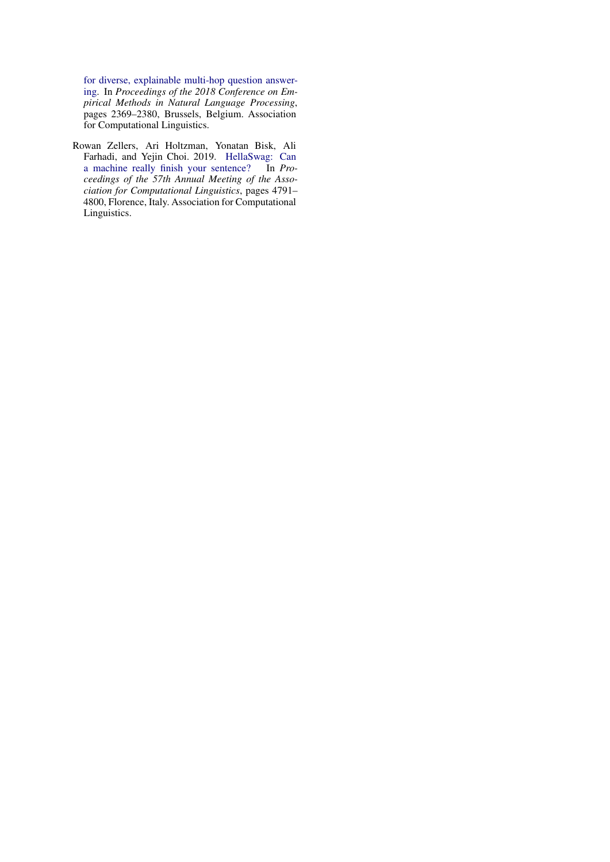[for diverse, explainable multi-hop question answer](https://doi.org/10.18653/v1/D18-1259)[ing.](https://doi.org/10.18653/v1/D18-1259) In *Proceedings of the 2018 Conference on Empirical Methods in Natural Language Processing*, pages 2369–2380, Brussels, Belgium. Association for Computational Linguistics.

<span id="page-10-0"></span>Rowan Zellers, Ari Holtzman, Yonatan Bisk, Ali Farhadi, and Yejin Choi. 2019. [HellaSwag: Can](https://doi.org/10.18653/v1/P19-1472) [a machine really finish your sentence?](https://doi.org/10.18653/v1/P19-1472) *ceedings of the 57th Annual Meeting of the Association for Computational Linguistics*, pages 4791– 4800, Florence, Italy. Association for Computational Linguistics.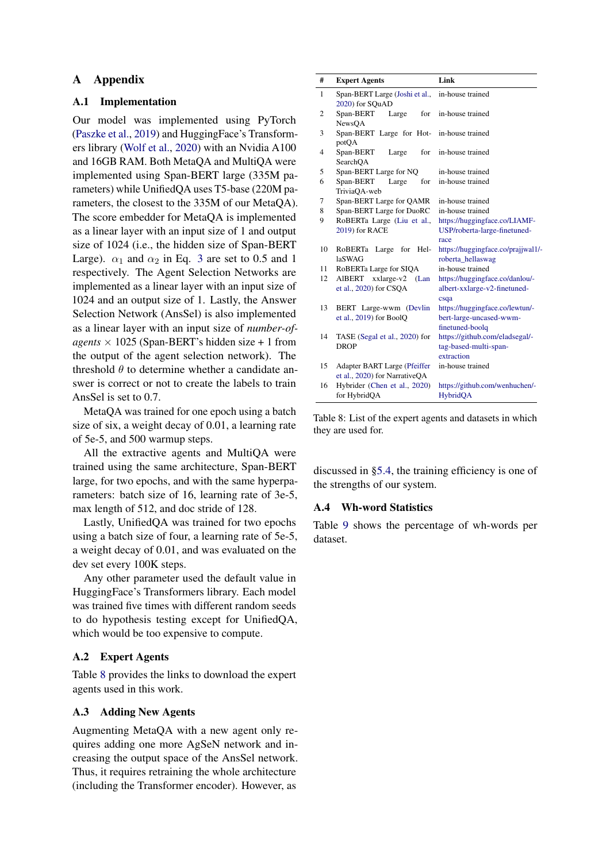## A Appendix

## <span id="page-11-0"></span>A.1 Implementation

Our model was implemented using PyTorch [\(Paszke et al.,](#page-9-14) [2019\)](#page-9-14) and HuggingFace's Transformers library [\(Wolf et al.,](#page-9-15) [2020\)](#page-9-15) with an Nvidia A100 and 16GB RAM. Both MetaQA and MultiQA were implemented using Span-BERT large (335M parameters) while UnifiedQA uses T5-base (220M parameters, the closest to the 335M of our MetaQA). The score embedder for MetaQA is implemented as a linear layer with an input size of 1 and output size of 1024 (i.e., the hidden size of Span-BERT Large).  $\alpha_1$  and  $\alpha_2$  in Eq. [3](#page-2-2) are set to 0.5 and 1 respectively. The Agent Selection Networks are implemented as a linear layer with an input size of 1024 and an output size of 1. Lastly, the Answer Selection Network (AnsSel) is also implemented as a linear layer with an input size of *number-ofagents*  $\times$  1025 (Span-BERT's hidden size + 1 from the output of the agent selection network). The threshold  $\theta$  to determine whether a candidate answer is correct or not to create the labels to train AnsSel is set to 0.7.

MetaQA was trained for one epoch using a batch size of six, a weight decay of 0.01, a learning rate of 5e-5, and 500 warmup steps.

All the extractive agents and MultiQA were trained using the same architecture, Span-BERT large, for two epochs, and with the same hyperparameters: batch size of 16, learning rate of 3e-5, max length of 512, and doc stride of 128.

Lastly, UnifiedQA was trained for two epochs using a batch size of four, a learning rate of 5e-5, a weight decay of 0.01, and was evaluated on the dev set every 100K steps.

Any other parameter used the default value in HuggingFace's Transformers library. Each model was trained five times with different random seeds to do hypothesis testing except for UnifiedQA, which would be too expensive to compute.

## <span id="page-11-1"></span>A.2 Expert Agents

Table [8](#page-11-2) provides the links to download the expert agents used in this work.

## A.3 Adding New Agents

Augmenting MetaQA with a new agent only requires adding one more AgSeN network and increasing the output space of the AnsSel network. Thus, it requires retraining the whole architecture (including the Transformer encoder). However, as

<span id="page-11-2"></span>

| #              | <b>Expert Agents</b>                                          | Link                                                                          |
|----------------|---------------------------------------------------------------|-------------------------------------------------------------------------------|
| 1              | Span-BERT Large (Joshi et al.,<br>2020) for SQuAD             | in-house trained                                                              |
| $\overline{c}$ | Span-BERT<br>for<br>Large<br>NewsQA                           | in-house trained                                                              |
| 3              | Span-BERT Large for Hot- in-house trained<br>potQA            |                                                                               |
| 4              | Span-BERT<br>for<br>Large<br>SearchQA                         | in-house trained                                                              |
| 5              | Span-BERT Large for NQ                                        | in-house trained                                                              |
| 6              | Span-BERT<br>for<br>Large<br>TriviaQA-web                     | in-house trained                                                              |
| 7              | Span-BERT Large for QAMR                                      | in-house trained                                                              |
| 8              | Span-BERT Large for DuoRC                                     | in-house trained                                                              |
| 9              | RoBERTa Large (Liu et al.,                                    | https://huggingface.co/LIAMF-                                                 |
|                | 2019) for RACE                                                | USP/roberta-large-finetuned-<br>race                                          |
| 10             | RoBERTa Large<br>for Hel-<br><b>laSWAG</b>                    | https://huggingface.co/prajjwal1/-<br>roberta_hellaswag                       |
| 11             | RoBERTa Large for SIQA                                        | in-house trained                                                              |
| 12             | AlBERT xxlarge-v2<br>(Lan)<br>et al., 2020) for CSQA          | https://huggingface.co/danlou/-<br>albert-xxlarge-v2-finetuned-<br>csqa       |
| 13             | BERT Large-wwm (Devlin<br>et al., $2019$ ) for BoolQ          | https://huggingface.co/lewtun/-<br>bert-large-uncased-wwm-<br>finetuned-boolq |
| 14             | TASE (Segal et al., 2020) for<br><b>DROP</b>                  | https://github.com/eladsegal/-<br>tag-based-multi-span-<br>extraction         |
| 15             | Adapter BART Large (Pfeiffer<br>et al., 2020) for NarrativeQA | in-house trained                                                              |
| 16             | Hybrider (Chen et al., 2020)<br>for HybridQA                  | https://github.com/wenhuchen/-<br>HybridQA                                    |

Table 8: List of the expert agents and datasets in which they are used for.

discussed in [§5.4,](#page-6-0) the training efficiency is one of the strengths of our system.

#### A.4 Wh-word Statistics

Table [9](#page-12-0) shows the percentage of wh-words per dataset.